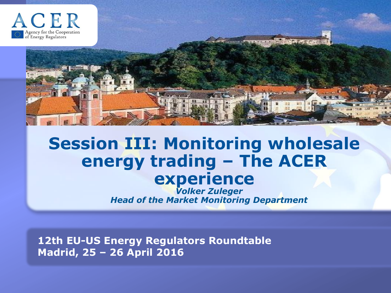

# **Session III: Monitoring wholesale energy trading – The ACER experience**

*Volker Zuleger Head of the Market Monitoring Department*

**12th EU-US Energy Regulators Roundtable Madrid, 25 – 26 April 2016**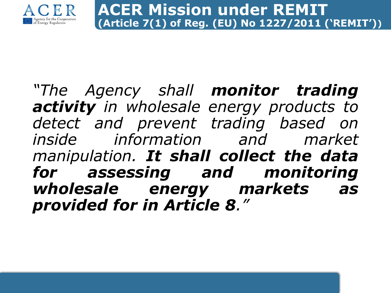

*"The Agency shall monitor trading activity in wholesale energy products to detect and prevent trading based on inside information and market manipulation. It shall collect the data for assessing and monitoring wholesale energy markets as provided for in Article 8."*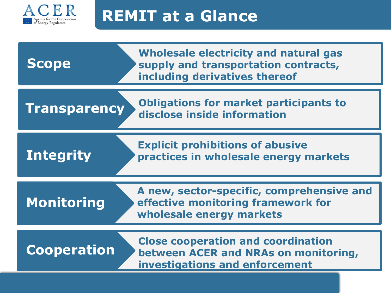

## **REMIT at a Glance**

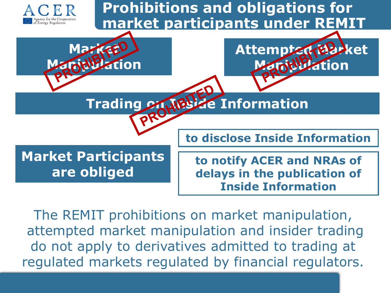

The REMIT prohibitions on market manipulation, attempted market manipulation and insider trading do not apply to derivatives admitted to trading at regulated markets regulated by financial regulators.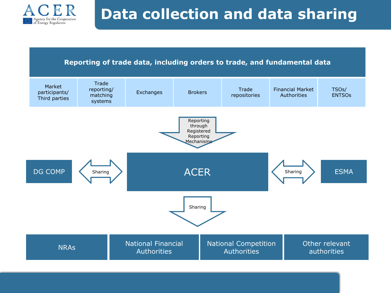

## **Data collection and data sharing**

#### **Reporting of trade data, including orders to trade, and fundamental data**

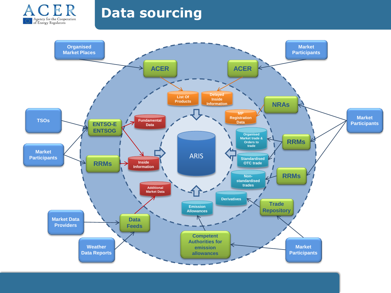

### **Data sourcing**

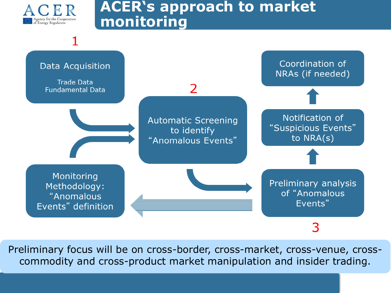

### **ACER's approach to market monitoring**



Preliminary focus will be on cross-border, cross-market, cross-venue, crosscommodity and cross-product market manipulation and insider trading.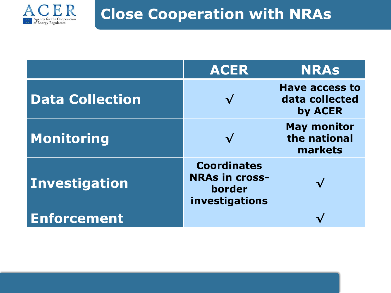

## **Close Cooperation with NRAs**

|                        | <b>ACER</b>                                                             | <b>NRAS</b>                                        |
|------------------------|-------------------------------------------------------------------------|----------------------------------------------------|
| <b>Data Collection</b> |                                                                         | <b>Have access to</b><br>data collected<br>by ACER |
| Monitoring             |                                                                         | <b>May monitor</b><br>the national<br>markets      |
| <b>Investigation</b>   | <b>Coordinates</b><br><b>NRAs in cross-</b><br>border<br>investigations |                                                    |
| <b>Enforcement</b>     |                                                                         |                                                    |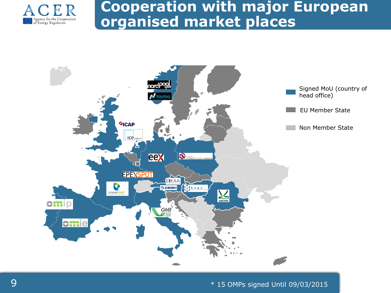

## **Cooperation with major European organised market places**



9 \* 15 OMPs signed Until 09/03/2015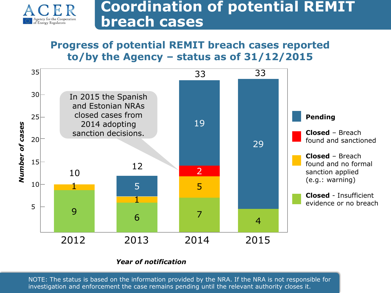

### **Coordination of potential REMIT breach cases**

#### **Progress of potential REMIT breach cases reported to/by the Agency – status as of 31/12/2015**



#### *Year of notification*

NOTE: The status is based on the information provided by the NRA. If the NRA is not responsible for investigation and enforcement the case remains pending until the relevant authority closes it.